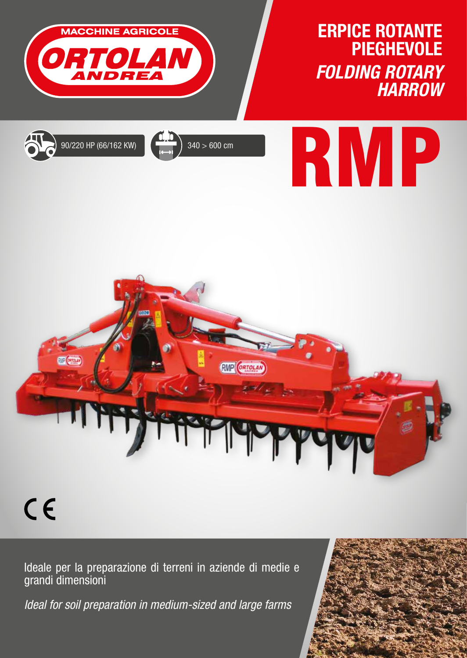



 $C<sub>f</sub>$ 

Ideale per la preparazione di terreni in aziende di medie e grandi dimensioni

*Ideal for soil preparation in medium-sized and large farms*